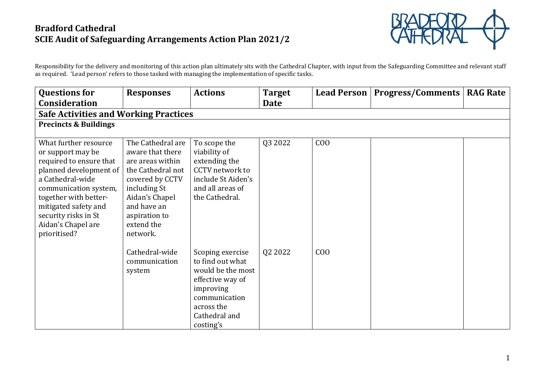

Responsibility for the delivery and monitoring of this action plan ultimately sits with the Cathedral Chapter, with input from the Safeguarding Committee and relevant staff as required. 'Lead person' refers to those tasked with managing the implementation of specific tasks.

| <b>Questions for</b>                                                                                                                                                                                                                                        | <b>Responses</b>                                                                                                                                                                              | <b>Actions</b>                                                                                                                                          | <b>Target</b> |                | Lead Person   Progress/Comments | <b>RAG Rate</b> |
|-------------------------------------------------------------------------------------------------------------------------------------------------------------------------------------------------------------------------------------------------------------|-----------------------------------------------------------------------------------------------------------------------------------------------------------------------------------------------|---------------------------------------------------------------------------------------------------------------------------------------------------------|---------------|----------------|---------------------------------|-----------------|
| <b>Consideration</b>                                                                                                                                                                                                                                        |                                                                                                                                                                                               |                                                                                                                                                         | Date          |                |                                 |                 |
| <b>Safe Activities and Working Practices</b>                                                                                                                                                                                                                |                                                                                                                                                                                               |                                                                                                                                                         |               |                |                                 |                 |
| <b>Precincts &amp; Buildings</b>                                                                                                                                                                                                                            |                                                                                                                                                                                               |                                                                                                                                                         |               |                |                                 |                 |
| What further resource<br>or support may be<br>required to ensure that<br>planned development of<br>a Cathedral-wide<br>communication system,<br>together with better-<br>mitigated safety and<br>security risks in St<br>Aidan's Chapel are<br>prioritised? | The Cathedral are<br>aware that there<br>are areas within<br>the Cathedral not<br>covered by CCTV<br>including St<br>Aidan's Chapel<br>and have an<br>aspiration to<br>extend the<br>network. | To scope the<br>viability of<br>extending the<br>CCTV network to<br>include St Aiden's<br>and all areas of<br>the Cathedral.                            | Q3 2022       | C <sub>0</sub> |                                 |                 |
|                                                                                                                                                                                                                                                             | Cathedral-wide<br>communication<br>system                                                                                                                                                     | Scoping exercise<br>to find out what<br>would be the most<br>effective way of<br>improving<br>communication<br>across the<br>Cathedral and<br>costing's | Q2 2022       | C <sub>0</sub> |                                 |                 |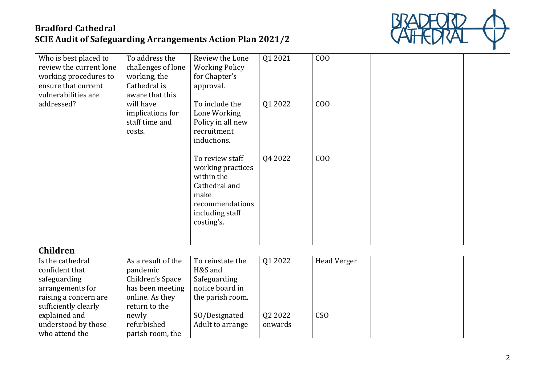

| Who is best placed to<br>review the current lone<br>working procedures to<br>ensure that current<br>vulnerabilities are | To address the<br>challenges of lone<br>working, the<br>Cathedral is<br>aware that this | Review the Lone<br><b>Working Policy</b><br>for Chapter's<br>approval.                                                          | Q1 2021 | C <sub>0</sub>     |  |
|-------------------------------------------------------------------------------------------------------------------------|-----------------------------------------------------------------------------------------|---------------------------------------------------------------------------------------------------------------------------------|---------|--------------------|--|
| addressed?                                                                                                              | will have<br>implications for<br>staff time and<br>costs.                               | To include the<br>Lone Working<br>Policy in all new<br>recruitment<br>inductions.                                               | Q1 2022 | C <sub>0</sub>     |  |
|                                                                                                                         |                                                                                         | To review staff<br>working practices<br>within the<br>Cathedral and<br>make<br>recommendations<br>including staff<br>costing's. | Q4 2022 | C <sub>0</sub>     |  |
| <b>Children</b>                                                                                                         |                                                                                         |                                                                                                                                 |         |                    |  |
| Is the cathedral                                                                                                        | As a result of the                                                                      | To reinstate the                                                                                                                | Q1 2022 | <b>Head Verger</b> |  |
| confident that                                                                                                          | pandemic                                                                                | H&S and                                                                                                                         |         |                    |  |
| safeguarding<br>arrangements for                                                                                        | Children's Space<br>has been meeting                                                    | Safeguarding<br>notice board in                                                                                                 |         |                    |  |
| raising a concern are                                                                                                   | online. As they                                                                         | the parish room.                                                                                                                |         |                    |  |
| sufficiently clearly                                                                                                    | return to the                                                                           |                                                                                                                                 |         |                    |  |
| explained and                                                                                                           | newly                                                                                   | SO/Designated                                                                                                                   | Q2 2022 | CS <sub>O</sub>    |  |
| understood by those                                                                                                     | refurbished                                                                             | Adult to arrange                                                                                                                | onwards |                    |  |
| who attend the                                                                                                          | parish room, the                                                                        |                                                                                                                                 |         |                    |  |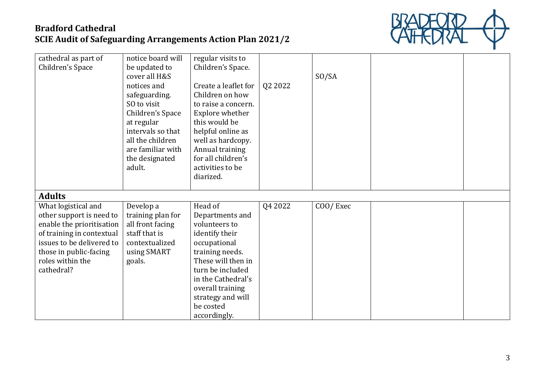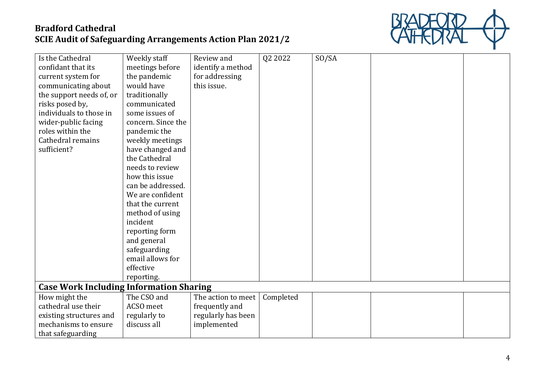

| Is the Cathedral                               | Weekly staff       | Review and         | Q2 2022   | SO/SA |  |
|------------------------------------------------|--------------------|--------------------|-----------|-------|--|
| confidant that its                             | meetings before    | identify a method  |           |       |  |
| current system for                             | the pandemic       | for addressing     |           |       |  |
| communicating about                            | would have         | this issue.        |           |       |  |
| the support needs of, or                       | traditionally      |                    |           |       |  |
| risks posed by,                                | communicated       |                    |           |       |  |
| individuals to those in                        | some issues of     |                    |           |       |  |
| wider-public facing                            | concern. Since the |                    |           |       |  |
| roles within the                               | pandemic the       |                    |           |       |  |
| Cathedral remains                              | weekly meetings    |                    |           |       |  |
| sufficient?                                    | have changed and   |                    |           |       |  |
|                                                | the Cathedral      |                    |           |       |  |
|                                                | needs to review    |                    |           |       |  |
|                                                | how this issue     |                    |           |       |  |
|                                                | can be addressed.  |                    |           |       |  |
|                                                | We are confident   |                    |           |       |  |
|                                                | that the current   |                    |           |       |  |
|                                                | method of using    |                    |           |       |  |
|                                                | incident           |                    |           |       |  |
|                                                | reporting form     |                    |           |       |  |
|                                                | and general        |                    |           |       |  |
|                                                | safeguarding       |                    |           |       |  |
|                                                | email allows for   |                    |           |       |  |
|                                                | effective          |                    |           |       |  |
|                                                | reporting.         |                    |           |       |  |
| <b>Case Work Including Information Sharing</b> |                    |                    |           |       |  |
| How might the                                  | The CSO and        | The action to meet | Completed |       |  |
| cathedral use their                            | ACSO meet          | frequently and     |           |       |  |
| existing structures and                        | regularly to       | regularly has been |           |       |  |
| mechanisms to ensure                           | discuss all        | implemented        |           |       |  |
| that safeguarding                              |                    |                    |           |       |  |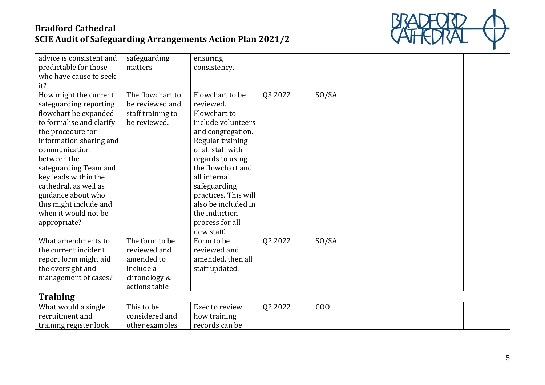

| advice is consistent and | safeguarding      | ensuring             |         |                |  |
|--------------------------|-------------------|----------------------|---------|----------------|--|
| predictable for those    | matters           | consistency.         |         |                |  |
| who have cause to seek   |                   |                      |         |                |  |
| it?                      |                   |                      |         |                |  |
| How might the current    | The flowchart to  | Flowchart to be      | Q3 2022 | SO/SA          |  |
| safeguarding reporting   | be reviewed and   | reviewed.            |         |                |  |
| flowchart be expanded    | staff training to | Flowchart to         |         |                |  |
| to formalise and clarify | be reviewed.      | include volunteers   |         |                |  |
| the procedure for        |                   | and congregation.    |         |                |  |
| information sharing and  |                   | Regular training     |         |                |  |
| communication            |                   | of all staff with    |         |                |  |
| between the              |                   | regards to using     |         |                |  |
| safeguarding Team and    |                   | the flowchart and    |         |                |  |
| key leads within the     |                   | all internal         |         |                |  |
| cathedral, as well as    |                   | safeguarding         |         |                |  |
| guidance about who       |                   | practices. This will |         |                |  |
| this might include and   |                   | also be included in  |         |                |  |
| when it would not be     |                   | the induction        |         |                |  |
| appropriate?             |                   | process for all      |         |                |  |
|                          |                   | new staff.           |         |                |  |
| What amendments to       | The form to be    | Form to be           | Q2 2022 | SO/SA          |  |
| the current incident     | reviewed and      | reviewed and         |         |                |  |
| report form might aid    | amended to        | amended, then all    |         |                |  |
| the oversight and        | include a         | staff updated.       |         |                |  |
| management of cases?     | chronology &      |                      |         |                |  |
|                          | actions table     |                      |         |                |  |
| <b>Training</b>          |                   |                      |         |                |  |
| What would a single      | This to be        | Exec to review       | Q2 2022 | C <sub>0</sub> |  |
| recruitment and          | considered and    | how training         |         |                |  |
| training register look   | other examples    | records can be       |         |                |  |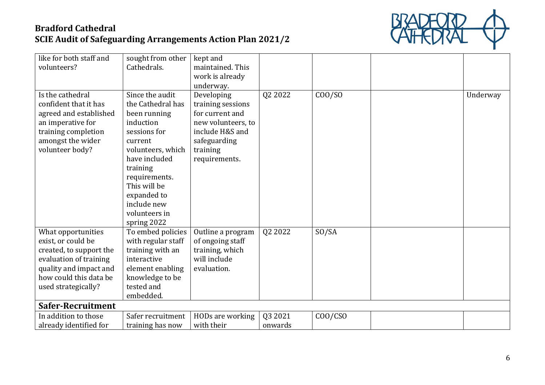

| like for both staff and  | sought from other  | kept and           |         |         |          |
|--------------------------|--------------------|--------------------|---------|---------|----------|
| volunteers?              | Cathedrals.        | maintained. This   |         |         |          |
|                          |                    | work is already    |         |         |          |
|                          |                    | underway.          |         |         |          |
| Is the cathedral         | Since the audit    | Developing         | Q2 2022 | COO/SO  | Underway |
| confident that it has    | the Cathedral has  | training sessions  |         |         |          |
| agreed and established   | been running       | for current and    |         |         |          |
| an imperative for        | induction          | new volunteers, to |         |         |          |
| training completion      | sessions for       | include H&S and    |         |         |          |
| amongst the wider        | current            | safeguarding       |         |         |          |
| volunteer body?          | volunteers, which  | training           |         |         |          |
|                          | have included      | requirements.      |         |         |          |
|                          | training           |                    |         |         |          |
|                          | requirements.      |                    |         |         |          |
|                          | This will be       |                    |         |         |          |
|                          | expanded to        |                    |         |         |          |
|                          | include new        |                    |         |         |          |
|                          | volunteers in      |                    |         |         |          |
|                          | spring 2022        |                    |         |         |          |
| What opportunities       | To embed policies  | Outline a program  | Q2 2022 | SO/SA   |          |
| exist, or could be       | with regular staff | of ongoing staff   |         |         |          |
| created, to support the  | training with an   | training, which    |         |         |          |
| evaluation of training   | interactive        | will include       |         |         |          |
| quality and impact and   | element enabling   | evaluation.        |         |         |          |
| how could this data be   | knowledge to be    |                    |         |         |          |
| used strategically?      | tested and         |                    |         |         |          |
|                          | embedded.          |                    |         |         |          |
| <b>Safer-Recruitment</b> |                    |                    |         |         |          |
| In addition to those     | Safer recruitment  | HODs are working   | Q3 2021 | COO/CSO |          |
| already identified for   | training has now   | with their         | onwards |         |          |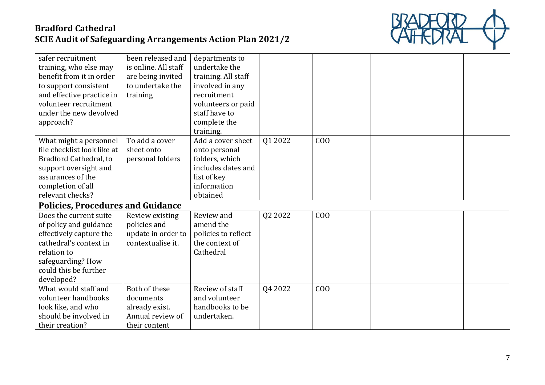

| safer recruitment                        | been released and    | departments to      |         |                |  |
|------------------------------------------|----------------------|---------------------|---------|----------------|--|
| training, who else may                   | is online. All staff | undertake the       |         |                |  |
| benefit from it in order                 | are being invited    | training. All staff |         |                |  |
| to support consistent                    | to undertake the     | involved in any     |         |                |  |
| and effective practice in                | training             | recruitment         |         |                |  |
| volunteer recruitment                    |                      | volunteers or paid  |         |                |  |
| under the new devolved                   |                      | staff have to       |         |                |  |
| approach?                                |                      | complete the        |         |                |  |
|                                          |                      | training.           |         |                |  |
| What might a personnel                   | To add a cover       | Add a cover sheet   | Q1 2022 | C <sub>0</sub> |  |
| file checklist look like at              | sheet onto           | onto personal       |         |                |  |
| Bradford Cathedral, to                   | personal folders     | folders, which      |         |                |  |
| support oversight and                    |                      | includes dates and  |         |                |  |
| assurances of the                        |                      | list of key         |         |                |  |
| completion of all                        |                      | information         |         |                |  |
| relevant checks?                         |                      | obtained            |         |                |  |
| <b>Policies, Procedures and Guidance</b> |                      |                     |         |                |  |
| Does the current suite                   | Review existing      | Review and          | Q2 2022 | C <sub>0</sub> |  |
| of policy and guidance                   | policies and         | amend the           |         |                |  |
| effectively capture the                  | update in order to   | policies to reflect |         |                |  |
| cathedral's context in                   | contextualise it.    | the context of      |         |                |  |
| relation to                              |                      | Cathedral           |         |                |  |
| safeguarding? How                        |                      |                     |         |                |  |
| could this be further                    |                      |                     |         |                |  |
| developed?                               |                      |                     |         |                |  |
| What would staff and                     | Both of these        | Review of staff     | Q4 2022 | C <sub>0</sub> |  |
| volunteer handbooks                      | documents            | and volunteer       |         |                |  |
| look like, and who                       | already exist.       | handbooks to be     |         |                |  |
| should be involved in                    | Annual review of     | undertaken.         |         |                |  |
| their creation?                          | their content        |                     |         |                |  |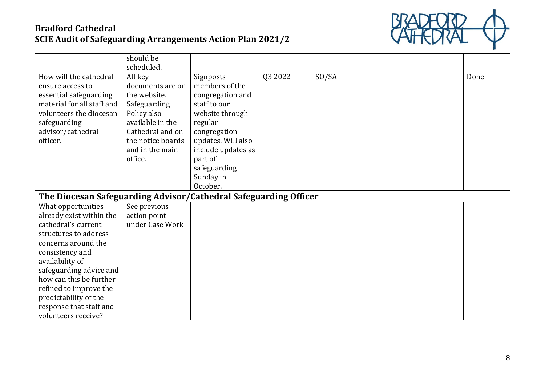

|                                                                  | should be         |                    |         |       |      |
|------------------------------------------------------------------|-------------------|--------------------|---------|-------|------|
|                                                                  | scheduled.        |                    |         |       |      |
| How will the cathedral                                           | All key           | Signposts          | Q3 2022 | SO/SA | Done |
| ensure access to                                                 | documents are on  | members of the     |         |       |      |
| essential safeguarding                                           | the website.      | congregation and   |         |       |      |
| material for all staff and                                       | Safeguarding      | staff to our       |         |       |      |
| volunteers the diocesan                                          | Policy also       | website through    |         |       |      |
| safeguarding                                                     | available in the  | regular            |         |       |      |
| advisor/cathedral                                                | Cathedral and on  | congregation       |         |       |      |
| officer.                                                         | the notice boards | updates. Will also |         |       |      |
|                                                                  | and in the main   | include updates as |         |       |      |
|                                                                  | office.           | part of            |         |       |      |
|                                                                  |                   | safeguarding       |         |       |      |
|                                                                  |                   | Sunday in          |         |       |      |
|                                                                  |                   | October.           |         |       |      |
| The Diocesan Safeguarding Advisor/Cathedral Safeguarding Officer |                   |                    |         |       |      |
| What opportunities                                               | See previous      |                    |         |       |      |
| already exist within the                                         | action point      |                    |         |       |      |
| cathedral's current                                              | under Case Work   |                    |         |       |      |
| structures to address                                            |                   |                    |         |       |      |
| concerns around the                                              |                   |                    |         |       |      |
| consistency and                                                  |                   |                    |         |       |      |
| availability of                                                  |                   |                    |         |       |      |
| safeguarding advice and                                          |                   |                    |         |       |      |
| how can this be further                                          |                   |                    |         |       |      |
| refined to improve the                                           |                   |                    |         |       |      |
| predictability of the                                            |                   |                    |         |       |      |
| response that staff and                                          |                   |                    |         |       |      |
| volunteers receive?                                              |                   |                    |         |       |      |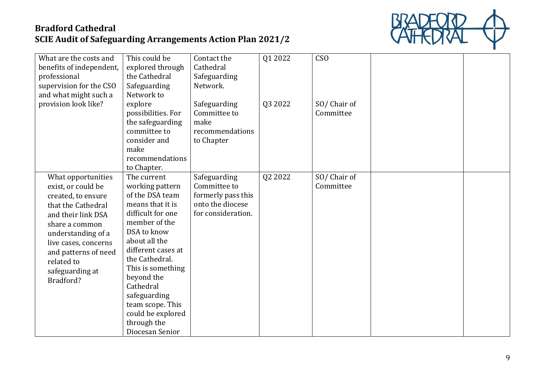

| What are the costs and   | This could be      | Contact the        | Q1 2022 | CSO <sub>1</sub> |  |
|--------------------------|--------------------|--------------------|---------|------------------|--|
| benefits of independent, | explored through   | Cathedral          |         |                  |  |
| professional             | the Cathedral      | Safeguarding       |         |                  |  |
| supervision for the CSO  | Safeguarding       | Network.           |         |                  |  |
| and what might such a    | Network to         |                    |         |                  |  |
| provision look like?     | explore            | Safeguarding       | Q3 2022 | SO/Chair of      |  |
|                          | possibilities. For | Committee to       |         | Committee        |  |
|                          | the safeguarding   | make               |         |                  |  |
|                          | committee to       | recommendations    |         |                  |  |
|                          | consider and       | to Chapter         |         |                  |  |
|                          | make               |                    |         |                  |  |
|                          | recommendations    |                    |         |                  |  |
|                          | to Chapter.        |                    |         |                  |  |
| What opportunities       | The current        | Safeguarding       | Q2 2022 | SO/Chair of      |  |
| exist, or could be       | working pattern    | Committee to       |         | Committee        |  |
| created, to ensure       | of the DSA team    | formerly pass this |         |                  |  |
| that the Cathedral       | means that it is   | onto the diocese   |         |                  |  |
| and their link DSA       | difficult for one  | for consideration. |         |                  |  |
| share a common           | member of the      |                    |         |                  |  |
| understanding of a       | DSA to know        |                    |         |                  |  |
| live cases, concerns     | about all the      |                    |         |                  |  |
| and patterns of need     | different cases at |                    |         |                  |  |
| related to               | the Cathedral.     |                    |         |                  |  |
| safeguarding at          | This is something  |                    |         |                  |  |
| Bradford?                | beyond the         |                    |         |                  |  |
|                          | Cathedral          |                    |         |                  |  |
|                          | safeguarding       |                    |         |                  |  |
|                          | team scope. This   |                    |         |                  |  |
|                          | could be explored  |                    |         |                  |  |
|                          | through the        |                    |         |                  |  |
|                          | Diocesan Senior    |                    |         |                  |  |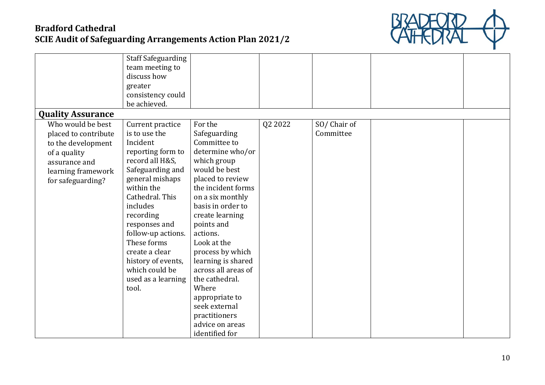

|                                               | <b>Staff Safeguarding</b><br>team meeting to<br>discuss how<br>greater<br>consistency could<br>be achieved. |                                        |         |             |  |
|-----------------------------------------------|-------------------------------------------------------------------------------------------------------------|----------------------------------------|---------|-------------|--|
| <b>Quality Assurance</b><br>Who would be best | Current practice                                                                                            | For the                                | Q2 2022 | SO/Chair of |  |
| placed to contribute                          | is to use the                                                                                               | Safeguarding                           |         | Committee   |  |
| to the development                            | Incident                                                                                                    | Committee to                           |         |             |  |
| of a quality                                  | reporting form to                                                                                           | determine who/or                       |         |             |  |
| assurance and                                 | record all H&S,                                                                                             | which group                            |         |             |  |
| learning framework                            | Safeguarding and                                                                                            | would be best                          |         |             |  |
| for safeguarding?                             | general mishaps                                                                                             | placed to review                       |         |             |  |
|                                               | within the                                                                                                  | the incident forms                     |         |             |  |
|                                               | Cathedral. This                                                                                             | on a six monthly                       |         |             |  |
|                                               | includes                                                                                                    | basis in order to                      |         |             |  |
|                                               | recording                                                                                                   | create learning                        |         |             |  |
|                                               | responses and                                                                                               | points and                             |         |             |  |
|                                               | follow-up actions.                                                                                          | actions.                               |         |             |  |
|                                               | These forms<br>create a clear                                                                               | Look at the                            |         |             |  |
|                                               |                                                                                                             | process by which<br>learning is shared |         |             |  |
|                                               | history of events,<br>which could be                                                                        | across all areas of                    |         |             |  |
|                                               | used as a learning                                                                                          | the cathedral.                         |         |             |  |
|                                               | tool.                                                                                                       | Where                                  |         |             |  |
|                                               |                                                                                                             | appropriate to                         |         |             |  |
|                                               |                                                                                                             | seek external                          |         |             |  |
|                                               |                                                                                                             | practitioners                          |         |             |  |
|                                               |                                                                                                             | advice on areas                        |         |             |  |
|                                               |                                                                                                             | identified for                         |         |             |  |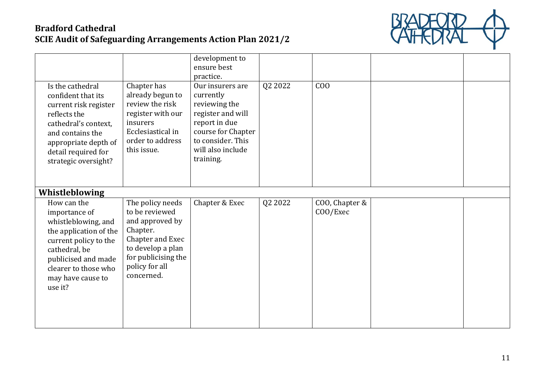

| Is the cathedral<br>confident that its<br>current risk register<br>reflects the<br>cathedral's context,<br>and contains the<br>appropriate depth of<br>detail required for<br>strategic oversight?     | Chapter has<br>already begun to<br>review the risk<br>register with our<br>insurers<br>Ecclesiastical in<br>order to address<br>this issue.                       | development to<br>ensure best<br>practice.<br>Our insurers are<br>currently<br>reviewing the<br>register and will<br>report in due<br>course for Chapter<br>to consider. This<br>will also include<br>training. | Q2 2022 | C <sub>0</sub>             |  |
|--------------------------------------------------------------------------------------------------------------------------------------------------------------------------------------------------------|-------------------------------------------------------------------------------------------------------------------------------------------------------------------|-----------------------------------------------------------------------------------------------------------------------------------------------------------------------------------------------------------------|---------|----------------------------|--|
| Whistleblowing                                                                                                                                                                                         |                                                                                                                                                                   |                                                                                                                                                                                                                 |         |                            |  |
| How can the<br>importance of<br>whistleblowing, and<br>the application of the<br>current policy to the<br>cathedral, be<br>publicised and made<br>clearer to those who<br>may have cause to<br>use it? | The policy needs<br>to be reviewed<br>and approved by<br>Chapter.<br>Chapter and Exec<br>to develop a plan<br>for publicising the<br>policy for all<br>concerned. | Chapter & Exec                                                                                                                                                                                                  | Q2 2022 | COO, Chapter &<br>COO/Exec |  |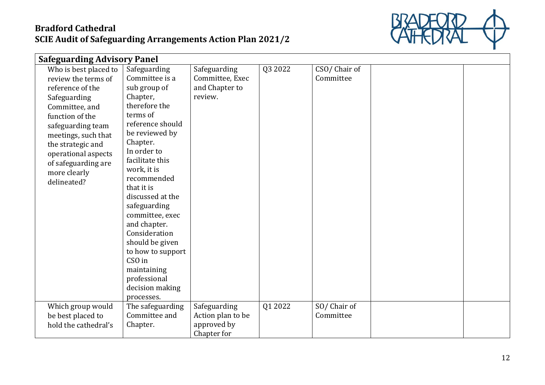

| <b>Safeguarding Advisory Panel</b>                                                                                                                                                                                                                                  |                                                                                                                                                                                                                                                                                                                                                                                                  |                                                              |         |                           |  |
|---------------------------------------------------------------------------------------------------------------------------------------------------------------------------------------------------------------------------------------------------------------------|--------------------------------------------------------------------------------------------------------------------------------------------------------------------------------------------------------------------------------------------------------------------------------------------------------------------------------------------------------------------------------------------------|--------------------------------------------------------------|---------|---------------------------|--|
| Who is best placed to<br>review the terms of<br>reference of the<br>Safeguarding<br>Committee, and<br>function of the<br>safeguarding team<br>meetings, such that<br>the strategic and<br>operational aspects<br>of safeguarding are<br>more clearly<br>delineated? | Safeguarding<br>Committee is a<br>sub group of<br>Chapter,<br>therefore the<br>terms of<br>reference should<br>be reviewed by<br>Chapter.<br>In order to<br>facilitate this<br>work, it is<br>recommended<br>that it is<br>discussed at the<br>safeguarding<br>committee, exec<br>and chapter.<br>Consideration<br>should be given<br>to how to support<br>CSO in<br>maintaining<br>professional | Safeguarding<br>Committee, Exec<br>and Chapter to<br>review. | Q3 2022 | CSO/Chair of<br>Committee |  |
|                                                                                                                                                                                                                                                                     | decision making<br>processes.                                                                                                                                                                                                                                                                                                                                                                    |                                                              |         |                           |  |
| Which group would                                                                                                                                                                                                                                                   | The safeguarding                                                                                                                                                                                                                                                                                                                                                                                 | Safeguarding                                                 | Q1 2022 | SO/Chair of               |  |
| be best placed to<br>hold the cathedral's                                                                                                                                                                                                                           | Committee and<br>Chapter.                                                                                                                                                                                                                                                                                                                                                                        | Action plan to be<br>approved by<br>Chapter for              |         | Committee                 |  |
|                                                                                                                                                                                                                                                                     |                                                                                                                                                                                                                                                                                                                                                                                                  |                                                              |         |                           |  |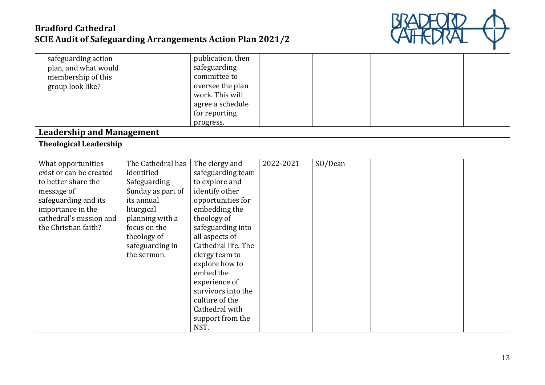

| safeguarding action<br>plan, and what would<br>membership of this<br>group look like?                                                                                              |                                                                                                                                                                                      | publication, then<br>safeguarding<br>committee to<br>oversee the plan<br>work. This will<br>agree a schedule                                                                                                                                                                                                                                       |           |         |  |
|------------------------------------------------------------------------------------------------------------------------------------------------------------------------------------|--------------------------------------------------------------------------------------------------------------------------------------------------------------------------------------|----------------------------------------------------------------------------------------------------------------------------------------------------------------------------------------------------------------------------------------------------------------------------------------------------------------------------------------------------|-----------|---------|--|
|                                                                                                                                                                                    |                                                                                                                                                                                      | for reporting<br>progress.                                                                                                                                                                                                                                                                                                                         |           |         |  |
| <b>Leadership and Management</b>                                                                                                                                                   |                                                                                                                                                                                      |                                                                                                                                                                                                                                                                                                                                                    |           |         |  |
| <b>Theological Leadership</b>                                                                                                                                                      |                                                                                                                                                                                      |                                                                                                                                                                                                                                                                                                                                                    |           |         |  |
|                                                                                                                                                                                    |                                                                                                                                                                                      |                                                                                                                                                                                                                                                                                                                                                    |           |         |  |
| What opportunities<br>exist or can be created<br>to better share the<br>message of<br>safeguarding and its<br>importance in the<br>cathedral's mission and<br>the Christian faith? | The Cathedral has<br>identified<br>Safeguarding<br>Sunday as part of<br>its annual<br>liturgical<br>planning with a<br>focus on the<br>theology of<br>safeguarding in<br>the sermon. | The clergy and<br>safeguarding team<br>to explore and<br>identify other<br>opportunities for<br>embedding the<br>theology of<br>safeguarding into<br>all aspects of<br>Cathedral life. The<br>clergy team to<br>explore how to<br>embed the<br>experience of<br>survivors into the<br>culture of the<br>Cathedral with<br>support from the<br>NST. | 2022-2021 | SO/Dean |  |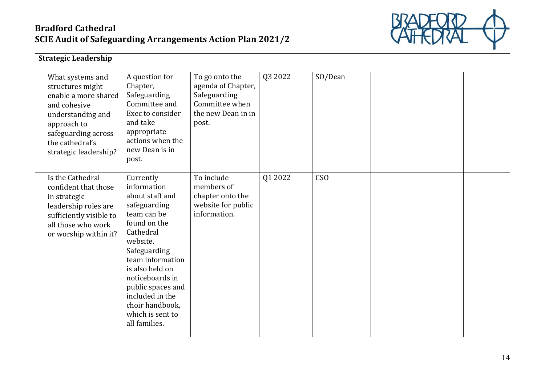

| <b>Strategic Leadership</b>                                                                                                                                                         |                                                                                                                                                                                                                                                                                               |                                                                                                       |         |                 |  |
|-------------------------------------------------------------------------------------------------------------------------------------------------------------------------------------|-----------------------------------------------------------------------------------------------------------------------------------------------------------------------------------------------------------------------------------------------------------------------------------------------|-------------------------------------------------------------------------------------------------------|---------|-----------------|--|
| What systems and<br>structures might<br>enable a more shared<br>and cohesive<br>understanding and<br>approach to<br>safeguarding across<br>the cathedral's<br>strategic leadership? | A question for<br>Chapter,<br>Safeguarding<br>Committee and<br>Exec to consider<br>and take<br>appropriate<br>actions when the<br>new Dean is in<br>post.                                                                                                                                     | To go onto the<br>agenda of Chapter,<br>Safeguarding<br>Committee when<br>the new Dean in in<br>post. | Q3 2022 | SO/Dean         |  |
| Is the Cathedral<br>confident that those<br>in strategic<br>leadership roles are<br>sufficiently visible to<br>all those who work<br>or worship within it?                          | Currently<br>information<br>about staff and<br>safeguarding<br>team can be<br>found on the<br>Cathedral<br>website.<br>Safeguarding<br>team information<br>is also held on<br>noticeboards in<br>public spaces and<br>included in the<br>choir handbook,<br>which is sent to<br>all families. | To include<br>members of<br>chapter onto the<br>website for public<br>information.                    | Q1 2022 | CS <sub>O</sub> |  |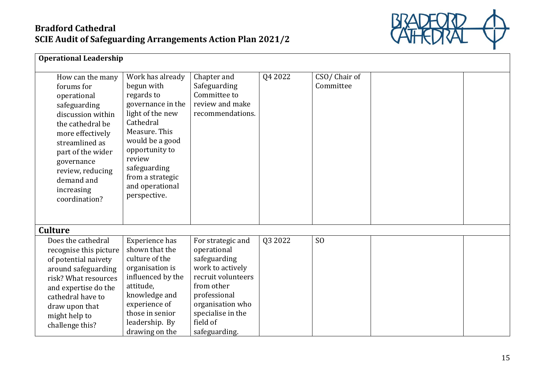

| <b>Operational Leadership</b>                                                                                                                                                                                                                    |                                                                                                                                                                                                                                           |                                                                                                                                                                                                |         |                           |  |  |  |  |
|--------------------------------------------------------------------------------------------------------------------------------------------------------------------------------------------------------------------------------------------------|-------------------------------------------------------------------------------------------------------------------------------------------------------------------------------------------------------------------------------------------|------------------------------------------------------------------------------------------------------------------------------------------------------------------------------------------------|---------|---------------------------|--|--|--|--|
| How can the many<br>forums for<br>operational<br>safeguarding<br>discussion within<br>the cathedral be<br>more effectively<br>streamlined as<br>part of the wider<br>governance<br>review, reducing<br>demand and<br>increasing<br>coordination? | Work has already<br>begun with<br>regards to<br>governance in the<br>light of the new<br>Cathedral<br>Measure. This<br>would be a good<br>opportunity to<br>review<br>safeguarding<br>from a strategic<br>and operational<br>perspective. | Chapter and<br>Safeguarding<br>Committee to<br>review and make<br>recommendations.                                                                                                             | Q4 2022 | CSO/Chair of<br>Committee |  |  |  |  |
| <b>Culture</b>                                                                                                                                                                                                                                   |                                                                                                                                                                                                                                           |                                                                                                                                                                                                |         |                           |  |  |  |  |
| Does the cathedral<br>recognise this picture<br>of potential naivety<br>around safeguarding<br>risk? What resources<br>and expertise do the<br>cathedral have to<br>draw upon that<br>might help to<br>challenge this?                           | Experience has<br>shown that the<br>culture of the<br>organisation is<br>influenced by the<br>attitude,<br>knowledge and<br>experience of<br>those in senior<br>leadership. By<br>drawing on the                                          | For strategic and<br>operational<br>safeguarding<br>work to actively<br>recruit volunteers<br>from other<br>professional<br>organisation who<br>specialise in the<br>field of<br>safeguarding. | Q3 2022 | S <sub>O</sub>            |  |  |  |  |